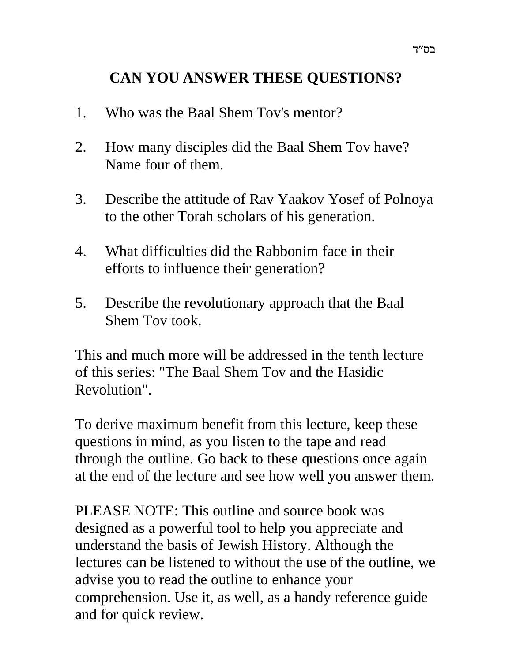# **CAN YOU ANSWER THESE QUESTIONS?**

- 1. Who was the Baal Shem Tov's mentor?
- 2. How many disciples did the Baal Shem Tov have? Name four of them.
- 3. Describe the attitude of Rav Yaakov Yosef of Polnoya to the other Torah scholars of his generation.
- 4. What difficulties did the Rabbonim face in their efforts to influence their generation?
- 5. Describe the revolutionary approach that the Baal Shem Tov took.

This and much more will be addressed in the tenth lecture of this series: "The Baal Shem Tov and the Hasidic Revolution".

To derive maximum benefit from this lecture, keep these questions in mind, as you listen to the tape and read through the outline. Go back to these questions once again at the end of the lecture and see how well you answer them.

PLEASE NOTE: This outline and source book was designed as a powerful tool to help you appreciate and understand the basis of Jewish History. Although the lectures can be listened to without the use of the outline, we advise you to read the outline to enhance your comprehension. Use it, as well, as a handy reference guide and for quick review.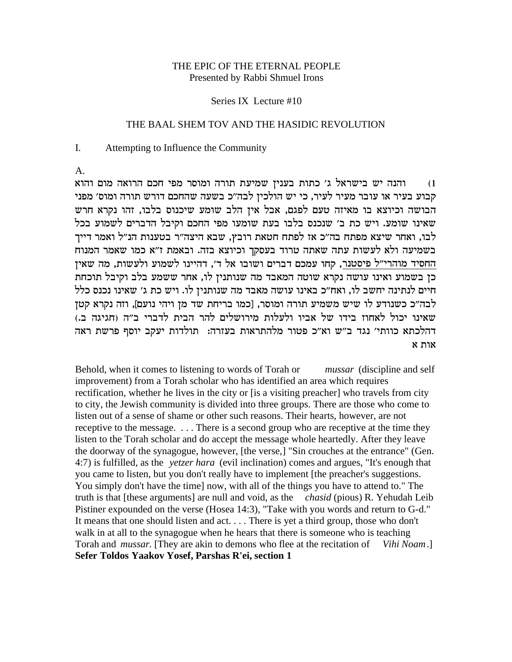### THE EPIC OF THE ETERNAL PEOPLE Presented by Rabbi Shmuel Irons

#### Series IX Lecture #10

### THE BAAL SHEM TOV AND THE HASIDIC REVOLUTION

#### $\mathbf{I}$ . Attempting to Influence the Community

A.

והנה יש בישראל ג׳ כתות בענין שמיעת תורה ומוסר מפי חכם הרואה מום והוא  $(1)$ קבוע בעיר או עובר מעיר לעיר, כי יש הולכין לבה״כ בשעה שהחכם דורש תורה ומוס׳ מפני הבושה וכיוצא בו מאיזה טעם לפגם, אבל אין הלב שומע שיכנוס בלבו, זהו נקרא חרש שאינו שומע. ויש כת ב' שנכנס בלבו בעת שומעו מפי החכם וקיבל הדברים לשמוע בכל לבו, ואחר שיצא מפתח בה"כ אז לפתח חטאת רובץ, שבא היצה"ר בטענות הנ"ל ואמר דייך בשמיעה ולא לעשות עתה שאתה טרוד בעסקך וכיוצא בזה. ובאמת ז"א כמו שאמר המנוח החסיד מוהרי״ל פיסטנר, קחו עמכם דברים ושובו אל ד׳, דהיינו לשמוע ולעשות, מה שאין כן בשמוע ואינו עושה נקרא שוטה המאבד מה שנותניז לו, אחר ששמע בלב וקיבל תוכחת חיים לנתינה יחשב לו, ואח״כ באינו עושה מאבד מה שנותנין לו. ויש כת ג׳ שאינו נכנס כלל לבה״כ כשנודע לו שיש משמיע תורה ומוסר, [כמו בריחת שד מן ויהי נועם], וזה נקרא קטן שאינו יכול לאחוז בידו של אביו ולעלות מירושלים להר הבית לדברי ב״ה (חגיגה ב.) דהלכתא כוותי' נגד ב"ש וא"כ פטור מלהתראות בעזרה: תולדות יעקב יוסף פרשת ראה  $x$ ות א

Behold, when it comes to listening to words of Torah or *mussar* (discipline and self) improvement) from a Torah scholar who has identified an area which requires rectification, whether he lives in the city or [is a visiting preacher] who travels from city to city, the Jewish community is divided into three groups. There are those who come to listen out of a sense of shame or other such reasons. Their hearts, however, are not receptive to the message. . . . There is a second group who are receptive at the time they listen to the Torah scholar and do accept the message whole heartedly. After they leave the doorway of the synagogue, however, [the verse,] "Sin crouches at the entrance" (Gen. 4:7) is fulfilled, as the *vetzer hara* (evil inclination) comes and argues, "It's enough that you came to listen, but you don't really have to implement [the preacher's suggestions. You simply don't have the time] now, with all of the things you have to attend to." The truth is that [these arguments] are null and void, as the *chasid* (pious) R. Yehudah Leib Pistiner expounded on the verse (Hosea 14:3), "Take with you words and return to G-d." It means that one should listen and act. . . . There is yet a third group, those who don't walk in at all to the synagogue when he hears that there is someone who is teaching Torah and *mussar*. [They are akin to demons who flee at the recitation of Vihi Noam. Sefer Toldos Yaakov Yosef, Parshas R'ei, section 1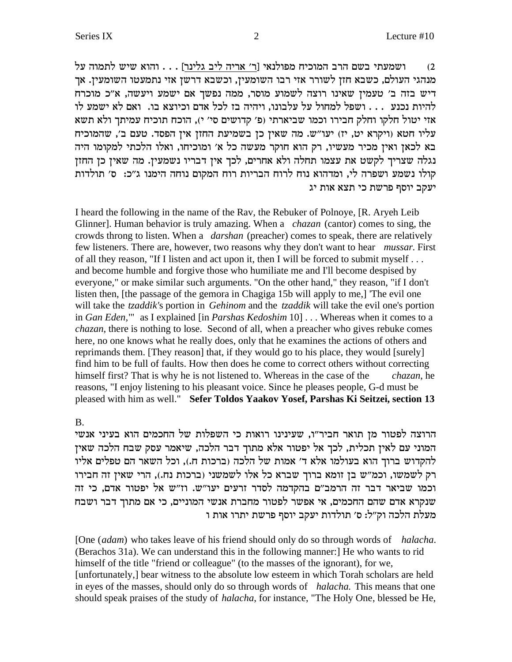ושמעתי בשם הרב המוכיח מפולנאי [ר' אריה ליב גלינר] . . . והוא שיש לתמוה על  $(2)$ מנהגי העולם, כשבא חזן לשורר אזי רבו השומעין, וכשבא דרשן אזי נתמעטו השומעין. אך דיש בזה ב' טעמין שאינו רוצה לשמוע מוסר, ממה נפשך אם ישמע ויעשה, א"כ מוכרח להיות נכנע... ושפל למחול על עלבונו, ויהיה בז לכל אדם וכיוצא בו. ואם לא ישמע לו אזי יטול חלקו וחלק חבירו וכמו שביארתי (פ׳ קדושים סי׳ י), הוכח תוכיח עמיתך ולא תשא עליו חטא (ויקרא יט, יז) יעו"ש. מה שאין כן בשמיעת החזן אין הפסד. טעם ב', שהמוכיח בא לכאן ואין מכיר מעשיו, רק הוא חוקר מעשה כל א׳ ומוכיחו, ואלו הלכתי למקומו היה נגלה שצריך לקשט את עצמו תחלה ולא אחרים, לכך אין דבריו נשמעין. מה שאין כן החזן קולו נשמע ושפרה לי, ומדהוא נוח לרוח הבריות רוח המקום נוחה הימנו ג"כ: ס' תולדות יעקב יוסף פרשת כי תצא אות יג

I heard the following in the name of the Ray, the Rebuker of Polnoye, [R. Aryeh Leib] Glinner]. Human behavior is truly amazing. When a *chazan* (cantor) comes to sing, the crowds throng to listen. When a *darshan* (preacher) comes to speak, there are relatively few listeners. There are, however, two reasons why they don't want to hear *mussar*. First of all they reason, "If I listen and act upon it, then I will be forced to submit myself ... and become humble and forgive those who humiliate me and I'll become despised by everyone," or make similar such arguments. "On the other hand," they reason, "if I don't listen then, [the passage of the gemora in Chagiga 15b will apply to me,] The evil one will take the *tzaddik's* portion in *Gehinom* and the *tzaddik* will take the evil one's portion in Gan Eden," as I explained [in Parshas Kedoshim 10] . . . Whereas when it comes to a *chazan*, there is nothing to lose. Second of all, when a preacher who gives rebuke comes here, no one knows what he really does, only that he examines the actions of others and reprimands them. [They reason] that, if they would go to his place, they would [surely] find him to be full of faults. How then does he come to correct others without correcting himself first? That is why he is not listened to. Whereas in the case of the *chazan*, he reasons, "I enjoy listening to his pleasant voice. Since he pleases people, G-d must be pleased with him as well." Sefer Toldos Yaakov Yosef, Parshas Ki Seitzei, section 13

#### **B.**

הרוצה לפטור מן תואר חביר״ו, שעינינו רואות כי השפלות של החכמים הוא בעיני אנשי המוני עם לאין תכלית, לכך אל יפטור אלא מתוך דבר הלכה, שיאמר עסק שבח הלכה שאין להקדוש ברוך הוא בעולמו אלא ד' אמות של הלכה (ברכות ח.), וכל השאר הם טפלים אליו רק לשמשו, וכמ"ש בן זומא ברוך שברא כל אלו לשמשני (ברכות נח.), הרי שאין זה חבירו וכמו שביאר דבר זה הרמב"ם בהקדמה לסדר זרעים יעו"ש. וז"ש אל יפטור אדם, כי זה שנקרא אדם שהם החכמים, אי אפשר לפטור מחברת אנשי המוניים, כי אם מתוך דבר ושבח מעלת הלכה וק״ל: ס׳ תולדות יעקב יוסף פרשת יתרו אות ו

[One *(adam)* who takes leave of his friend should only do so through words of *halacha*. (Berachos 31a). We can understand this in the following manner: He who wants to rid himself of the title "friend or colleague" (to the masses of the ignorant), for we, [unfortunately,] bear witness to the absolute low esteem in which Torah scholars are held in eyes of the masses, should only do so through words of *halacha*. This means that one should speak praises of the study of *halacha*, for instance, "The Holy One, blessed be He,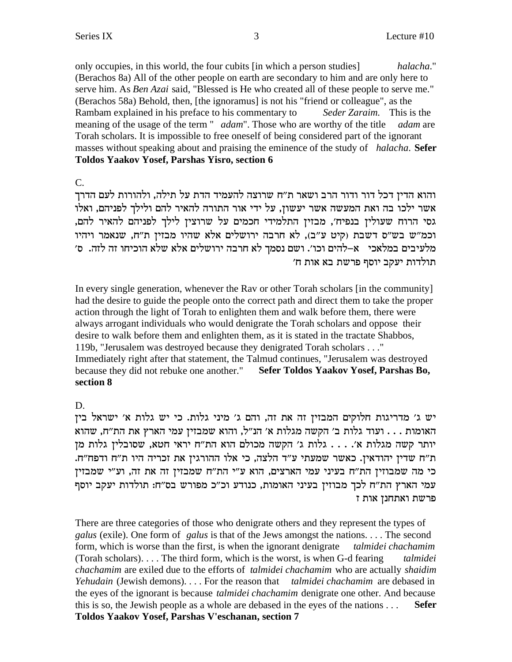only occupies, in this world, the four cubits [in which a person studies] *halacha*." (Berachos 8a) All of the other people on earth are secondary to him and are only here to serve him. As *Ben Azai* said, "Blessed is He who created all of these people to serve me." (Berachos 58a) Behold, then, [the ignoramus] is not his "friend or colleague", as the Rambam explained in his preface to his commentary to *Seder Zaraim.* This is the meaning of the usage of the term " *adam*". Those who are worthy of the title *adam* are Torah scholars. It is impossible to free oneself of being considered part of the ignorant masses without speaking about and praising the eminence of the study of *halacha*. **Sefer Toldos Yaakov Yosef, Parshas Yisro, section 6**

C.

והוא הדין דכל דור ודור הרב ושאר ת"ח שרוצה להעמיד הדת על תילה, ולהורות לעם הדרך el אשר ילכו בה ואת המעשה אשר יעשון, על ידי אור התורה להאיר להם ולילך לפניהם, ואלו גסי הרוח שעולין בנפיח׳, מבזין התלמידי חכמים על שרוצין לילך לפניהם להאיר להם, וכמ"ש בש"ס דשבת (קיט ע"ב), לא חרבה ירושלים אלא שהיו מבזין ת"ח, שנאמר ויהיו 'מלעיבים במלאכי | א–להים וכו׳. ושם נסמך לא חרבה ירושלים אלא שלא הוכיחו זה לזה. | ס 'תולדות יעקב יוסף פרשת בא אות ח

In every single generation, whenever the Rav or other Torah scholars [in the community] had the desire to guide the people onto the correct path and direct them to take the proper action through the light of Torah to enlighten them and walk before them, there were always arrogant individuals who would denigrate the Torah scholars and oppose their desire to walk before them and enlighten them, as it is stated in the tractate Shabbos, 119b, "Jerusalem was destroyed because they denigrated Torah scholars . . ." Immediately right after that statement, the Talmud continues, "Jerusalem was destroyed because they did not rebuke one another." **Sefer Toldos Yaakov Yosef, Parshas Bo, section 8**

D.

יש ג׳ מדריגות חלוקים המבזין זה את זה, והם ג׳ מיני גלות. כי יש גלות א׳ ישראל בין האומות . . . ועוד גלות ב' הקשה מגלות א' הנ"ל, והוא שמבזין עמי הארץ את הת"ח, שהוא יותר קשה מגלות א'. . . . גלות ג' הקשה מכולם הוא הת"ח יראי חטא, שסובלין גלות מן .<br>ת"ח שדין יהודאין. כאשר שמעתי ע"ד הלצה, כי אלו ההורגין את זכריה היו ת"ח ודפח"ח. כי מה שמבוזין הת"ח בעיני עמי הארצים, הוא ע"י הת"ח שמבזין זה את זה, וע"י שמבזין עמי הארץ הת"ח לכך מבוזין בעיני האומות, כנודע וכ"כ מפורש בס"ח: תולדות יעקב יוסף פרשת ואתחנז אות ז

There are three categories of those who denigrate others and they represent the types of *galus* (exile). One form of *galus* is that of the Jews amongst the nations. . . . The second form, which is worse than the first, is when the ignorant denigrate *talmidei chachamim* (Torah scholars). . . . The third form, which is the worst, is when G-d fearing *talmidei chachamim* are exiled due to the efforts of *talmidei chachamim* who are actually *shaidim Yehudain* (Jewish demons). . . . For the reason that *talmidei chachamim* are debased in the eyes of the ignorant is because *talmidei chachamim* denigrate one other. And because this is so, the Jewish people as a whole are debased in the eyes of the nations . . . **Sefer Toldos Yaakov Yosef, Parshas V'eschanan, section 7**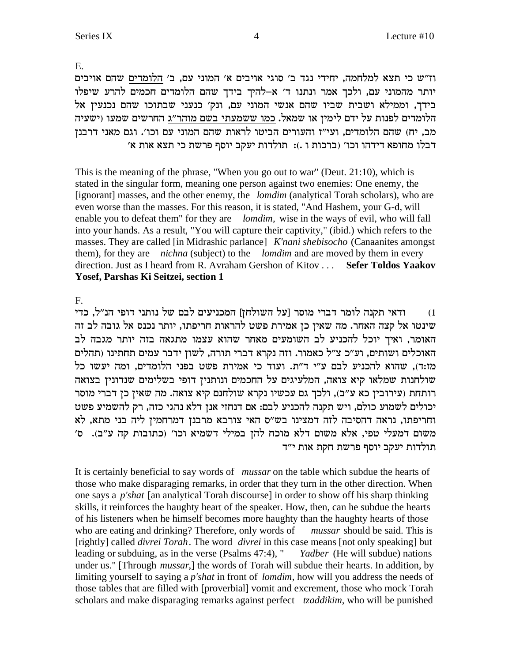Yosef, Parshas Ki Seitzei, section 1

This is the meaning of the phrase, "When you go out to war" (Deut. 21:10), which is stated in the singular form, meaning one person against two enemies: One enemy, the [ignorant] masses, and the other enemy, the *lomdim* (analytical Torah scholars), who are even worse than the masses. For this reason, it is stated, "And Hashem, your G-d, will enable you to defeat them" for they are *lomdim*, wise in the ways of evil, who will fall into your hands. As a result, "You will capture their captivity," (ibid.) which refers to the masses. They are called [in Midrashic parlance] *K'nani shebisocho* (Canaanites amongst) them), for they are *nichna* (subject) to the *lomdim* and are moved by them in every direction. Just as I heard from R. Avraham Gershon of Kitov . . . Sefer Toldos Yaakov

וז"ש כי תצא למלחמה, יחידי נגד ב' סוגי אויבים א' המוני עם, ב' הלומדים שהם אויבים יותר מהמוני עם, ולכך אמר ונתנו ד' א–להיך בידך שהם הלומדים חכמים להרע שיפלו בידך, וממילא ושבית שביו שהם אנשי המוני עם, ונק׳ כנעני שבתוכו שהם נכנעין אל הלומדים לפנות על ידם לימין או שמאל. כמו ששמעתי בשם מוהר״ג החרשים שמעו (ישעיה מב, יח) שהם הלומדים, ועי"ז והעורים הביטו לראות שהם המוני עם וכו'. וגם מאני דרבנן דבלו מחופא דידהו וכו׳ (ברכות ו .): תולדות יעקב יוסף פרשת כי תצא אות א׳

E.

 $F_{\cdot}$ 

ודאי תקנה לומר דברי מוסר [על השולחן] המכניעים לבם של נותני דופי הנ"ל, כדי  $(1)$ שינטו אל קצה האחר. מה שאין כן אמירת פשט להראות חריפתו, יותר נכנס אל גובה לב זה האומר, ואיך יוכל להכניע לב השומעים מאחר שהוא עצמו מתגאה בזה יותר מגבה לב האוכלים ושותים, וע״כ צ״ל כאמור. וזה נקרא דברי תורה, לשון ידבר עמים תחתינו (תהלים מז:ד), שהוא להכניע לבם ע״י ד״ת. ועוד כי אמירת פשט בפני הלומדים, ומה יעשו כל שולחנות שמלאו קיא צואה, המלעיגים על החכמים ונותנין דופי בשלימים שנדונין בצואה רותחת (עירובין כא ע"ב), ולכך גם עכשיו נקרא שולחנם קיא צואה. מה שאין כן דברי מוסר יכולים לשמוע כולם, ויש תקנה להכניע לבם: אם דנחזי אנן דלא נהגי כזה, רק להשמיע פשט וחריפתו, נראה דהסיבה לזה דמצינו בש"ס האי צורבא מרבנן דמרחמין ליה בני מתא, לא משום דמעלי טפי, אלא משום דלא מוכח להן במילי דשמיא וכו׳ (כתובות קה ע״ב). ס׳ תולדות יעקב יוסף פרשת חקת אות י״ד

It is certainly beneficial to say words of *mussar* on the table which subdue the hearts of those who make disparaging remarks, in order that they turn in the other direction. When one says a *p'shat* [an analytical Torah discourse] in order to show off his sharp thinking skills, it reinforces the haughty heart of the speaker. How, then, can he subdue the hearts of his listeners when he himself becomes more haughty than the haughty hearts of those who are eating and drinking? Therefore, only words of *mussar* should be said. This is [rightly] called *divrei Torah*. The word *divrei* in this case means [not only speaking] but leading or subduing, as in the verse (Psalms 47:4), " *Yadber* (He will subdue) nations under us." [Through *mussar*,] the words of Torah will subdue their hearts. In addition, by limiting yourself to saying a *p'shat* in front of *lomdim*, how will you address the needs of those tables that are filled with [proverbial] vomit and excrement, those who mock Torah scholars and make disparaging remarks against perfect *tzaddikim*, who will be punished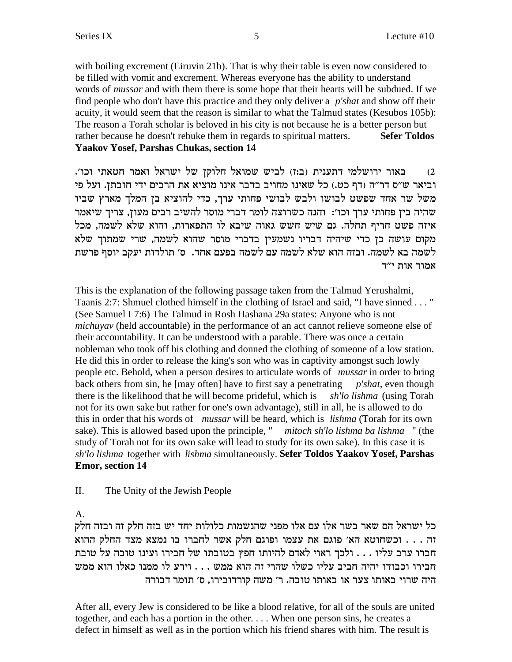with boiling excrement (Eiruvin 21b). That is why their table is even now considered to be filled with vomit and excrement. Whereas everyone has the ability to understand words of *mussar* and with them there is some hope that their hearts will be subdued. If we find people who don't have this practice and they only deliver a *p'shat* and show off their acuity, it would seem that the reason is similar to what the Talmud states (Kesubos 105b): The reason a Torah scholar is beloved in his city is not because he is a better person but rather because he doesn't rebuke them in regards to spiritual matters. **Sefer Toldos Yaakov Yosef, Parshas Chukas, section 14** 

באור ירושלמי דתענית (ב:ז) לביש שמואל חלוקן של ישראל ואמר חטאתי וכו'.  $(2)$ וביאר ש״ס דר״ה (דף כט.) כל שאינו מחויב בדבר אינו מוציא את הרבים ידי חובתז. ועל פי משל שר אחד שפשט לבושו ולבש לבושי פחותי ערך, כדי להוציא בן המלך מארץ שביו שהיה בין פחותי ערך וכו׳: והנה כשרוצה לומר דברי מוסר להשיב רבים מעון, צריך שיאמר איזה פשט חריף תחלה. גם שיש חשש גאוה שיבא לו התפארות, והוא שלא לשמה, מכל מקום עושה כן כדי שיהיה דבריו נשמעין בדברי מוסר שהוא לשמה, שרי שמתוך שלא לשמה בא לשמה. ובזה הוא שלא לשמה עם לשמה בפעם אחד. ס׳ תולדות יעקב יוסף פרשת אמור אות י"ד

This is the explanation of the following passage taken from the Talmud Yerushalmi, Taanis 2:7: Shmuel clothed himself in the clothing of Israel and said, "I have sinned . . . " (See Samuel I 7:6) The Talmud in Rosh Hashana 29a states: Anyone who is not *michuyav* (held accountable) in the performance of an act cannot relieve someone else of their accountability. It can be understood with a parable. There was once a certain nobleman who took off his clothing and donned the clothing of someone of a low station. He did this in order to release the king's son who was in captivity amongst such lowly people etc. Behold, when a person desires to articulate words of *mussar* in order to bring back others from sin, he [may often] have to first say a penetrating *p'shat*, even though there is the likelihood that he will become prideful, which is sh'lo lishma (using Torah not for its own sake but rather for one's own advantage), still in all, he is allowed to do this in order that his words of *mussar* will be heard, which is *lishma* (Torah for its own sake). This is allowed based upon the principle, " *mitoch sh'lo lishma ba lishma* " (the study of Torah not for its own sake will lead to study for its own sake). In this case it is sh'lo lishma together with lishma simultaneously. Sefer Toldos Yaakov Yosef, Parshas **Emor, section 14** 

#### $\Pi$ . The Unity of the Jewish People

 $A<sub>1</sub>$ 

כל ישראל הם שאר בשר אלו עם אלו מפני שהנשמות כלולות יחד יש בזה חלק זה ובזה חלק זה . . . וכשחוטא הא' פוגם את עצמו ופוגם חלק אשר לחברו בו נמצא מצד החלק ההוא חברו ערב עליו . . . ולכך ראוי לאדם להיותו חפץ בטובתו של חבירו ועינו טובה על טובת חבירו וכבודו יהיה חביב עליו כשלו שהרי זה הוא ממש . . . וירע לו ממנו כאלו הוא ממש היה שרוי באותו צער או באותו טובה. ר' משה קורדובירו, ס' תומר דבורה

After all, every Jew is considered to be like a blood relative, for all of the souls are united together, and each has a portion in the other.... When one person sins, he creates a defect in himself as well as in the portion which his friend shares with him. The result is

5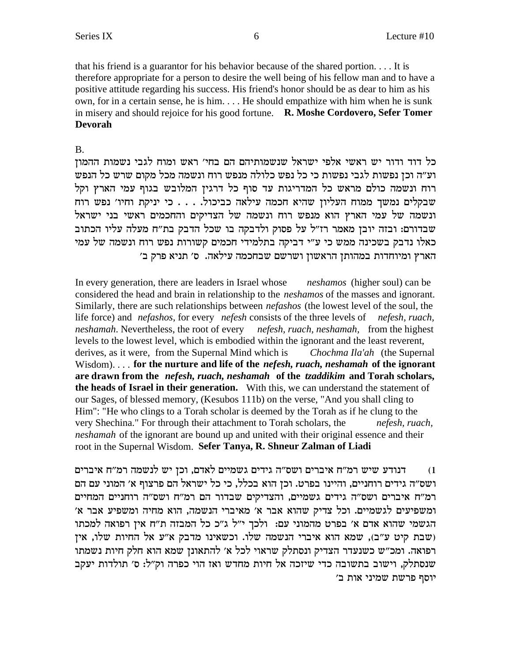that his friend is a guarantor for his behavior because of the shared portion.... It is therefore appropriate for a person to desire the well being of his fellow man and to have a positive attitude regarding his success. His friend's honor should be as dear to him as his own, for in a certain sense, he is him.... He should empathize with him when he is sunk in misery and should rejoice for his good fortune. R. Moshe Cordovero, Sefer Tomer **Devorah** 

### $B<sub>1</sub>$

כל דוד ודור יש ראשי אלפי ישראל שנשמותיהם הם בחי׳ ראש ומוח לגבי נשמות ההמון וע״ה וכן נפשות לגבי נפשות כי כל נפש כלולה מנפש רוח ונשמה מכל מקום שרש כל הנפש רוח ונשמה כולם מראש כל המדריגות עד סוף כל דרגין המלובש בגוף עמי הארץ וקל שבקלים נמשך ממוח העליון שהיא חכמה עילאה כביכול. . . . כי יניקת וחיו' נפש רוח ונשמה של עמי הארץ הוא מנפש רוח ונשמה של הצדיקים והחכמים ראשי בני ישראל שבדורם: ובזה יובן מאמר רז"ל על פסוק ולדבקה בו שכל הדבק בת"ח מעלה עליו הכתוב כאלו נדבק בשכינה ממש כי ע"י דביקה בתלמידי חכמים קשורות נפש רוח ונשמה של עמי הארץ ומיוחדות במהותן הראשון ושרשם שבחכמה עילאה. ס׳ תניא פרק ב׳

In every generation, there are leaders in Israel whose *neshamos* (higher soul) can be considered the head and brain in relationship to the *neshamos* of the masses and ignorant. Similarly, there are such relationships between *nefashos* (the lowest level of the soul, the life force) and *nefashos*, for every *nefesh* consists of the three levels of *nefesh*, *ruach*, neshamah. Nevertheless, the root of every nefesh, ruach, neshamah, from the highest levels to the lowest level, which is embodied within the ignorant and the least reverent, derives, as it were, from the Supernal Mind which is Chochma Ila'ah (the Supernal Wisdom).... for the nurture and life of the *nefesh*, *ruach*, *neshamah* of the ignorant are drawn from the *nefesh*, *ruach*, *neshamah* of the *tzaddikim* and Torah scholars, the heads of Israel in their generation. With this, we can understand the statement of our Sages, of blessed memory, (Kesubos 111b) on the verse, "And you shall cling to Him": "He who clings to a Torah scholar is deemed by the Torah as if he clung to the very Shechina." For through their attachment to Torah scholars, the nefesh, ruach, *neshamah* of the ignorant are bound up and united with their original essence and their root in the Supernal Wisdom. Sefer Tanya, R. Shneur Zalman of Liadi

דנודע שיש רמ"ח איברים ושס"ה גידים גשמיים לאדם, וכן יש לנשמה רמ"ח איברים  $(1)$ ושס״ה גידים רוחניים, והיינו בפרט. וכן הוא בכלל, כי כל ישראל הם פרצוף א׳ המוני עם הם רמ"ח איברים ושס"ה גידים גשמיים, והצדיקים שבדור הם רמ"ח ושס"ה רוחניים המחיים ומשפיעים לגשמיים. וכל צדיק שהוא אבר א' מאיברי הנשמה, הוא מחיה ומשפיע אבר א' הגשמי שהוא אדם א' בפרט מהמוני עם: ולכך י"ל ג"כ כל המבזה ת"ח אין רפואה למכתו (שבת קיט ע"ב), שמא הוא איברי הנשמה שלו. וכשאינו מדבק א"ע אל החיות שלו, אין רפואה. ומכ"ש כשנעדר הצדיק ונסתלק שראוי לכל א' להתאונן שמא הוא חלק חיות נשמתו שנסתלק, וישוב בתשובה כדי שיזכה אל חיות מחדש ואז הוי כפרה וק"ל: ס' תולדות יעקב יוסף פרשת שמיני אות ב'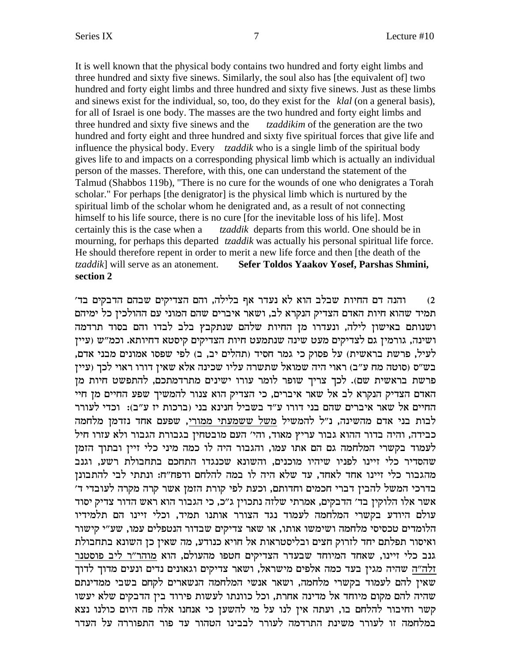It is well known that the physical body contains two hundred and forty eight limbs and three hundred and sixty five sinews. Similarly, the soul also has [the equivalent of] two hundred and forty eight limbs and three hundred and sixty five sinews. Just as these limbs and sinews exist for the individual, so, too, do they exist for the *klal* (on a general basis), for all of Israel is one body. The masses are the two hundred and forty eight limbs and three hundred and sixty five sinews and the *tzaddikim* of the generation are the two hundred and forty eight and three hundred and sixty five spiritual forces that give life and influence the physical body. Every *tzaddik* who is a single limb of the spiritual body gives life to and impacts on a corresponding physical limb which is actually an individual person of the masses. Therefore, with this, one can understand the statement of the Talmud (Shabbos 119b), "There is no cure for the wounds of one who denigrates a Torah scholar." For perhaps [the denigrator] is the physical limb which is nurtured by the spiritual limb of the scholar whom he denigrated and, as a result of not connecting himself to his life source, there is no cure [for the inevitable loss of his life]. Most certainly this is the case when a *tzaddik* departs from this world. One should be in mourning, for perhaps this departed *tzaddik* was actually his personal spiritual life force. He should therefore repent in order to merit a new life force and then [the death of the *tzaddik*] will serve as an atonement. **Sefer Toldos Yaakov Yosef, Parshas Shmini, section 2**

'ב) ה'תנה דם החיות שבלב הוא לא נעדר אף בלילה, והם הצדיקים שבהם הדבקים בד תמיד שהוא חיות האדם הצדיק הנקרא לב, ושאר איברים שהם המוני עם ההולכיז כל ימיהם ושנותם באישון לילה, ונעדרו מן החיות שלהם שנתקבץ בלב לבדו והם בסוד תרדמה ושינה, גורמין גם לצדיקים מעט שינה שנתמעט חיות הצדיקים קיסטא דחיותא. וכמ"ש (עיין לעיל, פרשת בראשית) על פסוק כי גמר חסיד (תהלים יב, ב) לפי שפסו אמונים מבני אדם, בש"ס (סוטה מח ע"ב) ראוי היה שמואל שתשרה עליו שכינה אלא שאין דורו ראוי לכך (עיין פרשת בראשית שם). לכך צריך שופר לומר עורו ישינים מתרדמתכם, להתפשט חיות מן האדם הצדיק הנקרא לב אל שאר איברים, כי הצדיק הוא צנור להמשיך שפע החיים מן חיי החיים אל שאר איברים שהם בני דורו ע״ד בשביל חנינא בני (ברכות יז ע״ב): וכדי לעורר לבות בני אדם מהשינה, נ״ל להמשיל משל ששמעתי ממורי, שפעם אחד נזדמן מלחמה כבידה, והיה בדור ההוא גבור עריץ מאוד, והי׳ העם מובטחין בגבורת הגבור ולא עזרו חיל לעמוד בקשרי המלחמה גם הם אתו עמו, והגבור היה לו כמה מיני כלי זיין ובתוך הזמן שהסדיר כלי זיינו לפניו שיהיו מוכנים, והשונא שכנגדו התחכם בתחבולת רשע, וגנב מהגבור כלי זיינו אחד לאחד, עד שלא היה לו במה להלחם ודפח"ח: ונתתי לבי להתבונן בדרכי המשל להבין דברי חכמים וחדותם, וכעת לפי קורת הזמן אשר קרה מקרה לעובדי ד׳ אשר אלו הלוקין בד' הדבקים, אמרתי שלזה נתכוין ג"כ, כי הגבור הוא ראש הדור צדיק יסוד עולם היודע בקשרי המלחמה לעמוד נגד הצורר אותנו תמיד, וכלי זיינו הם תלמידיו הלומדים טכסיסי מלחמה ושימשו אותו, או שאר צדיקים שבדור הנטפלים עמו, שע"י קישור ואיסור תפלתם יחד לזרוק חצים ובליסטראות אל חויא כנודע, מה שאין כן השונא בתחבולת גנב כלי זיינו, שאחד המיוחד שבעדר הצדיקים חטפו מהעולם, הוא מוהר״ר ליב פוסטנר זלה"ה שהיה מגין בעד כמה אלפים מישראל, ושאר צדיקים וגאונים נדים ונעים מדוך לדוך שאין להם לעמוד בקשרי מלחמה, ושאר אנשי המלחמה הנשארים לקחם בשבי ממדינתם שהיה להם מקום מיוחד אל מדינה אחרת, וכל כוונתו לעשות פירוד בין הדבקים שלא יעשו קשר וחיבור להלחם בו, ועתה אין לנו על מי להשען כי אנחנו אלה פה היום כולנו נצא .<br>במלחמה זו לעורר משינת התרדמה לעורר לבבינו הטהור עד פור התפוררה על העדר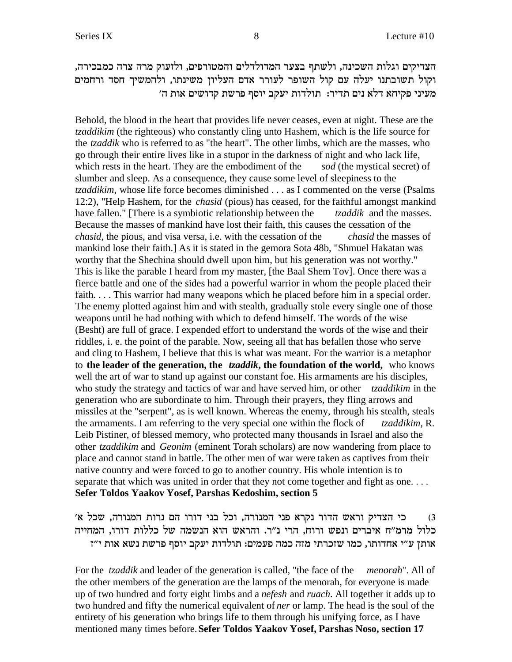הצדיקים וגלות השכינה, ולשתף בצער המדולדלים והמטורפים, ולזעוק מרה צרה כמבכירה, וקול תשובתנו יעלה עם קול השופר לעורר אדם העליון משינתו, ולהמשיך חסד ורחמים 'מעיני פקיחא דלא נים תדיר: תולדות יעקב יוסף פרשת קדושים אות ה

Behold, the blood in the heart that provides life never ceases, even at night. These are the *tzaddikim* (the righteous) who constantly cling unto Hashem, which is the life source for the *tzaddik* who is referred to as "the heart". The other limbs, which are the masses, who go through their entire lives like in a stupor in the darkness of night and who lack life, which rests in the heart. They are the embodiment of the *sod* (the mystical secret) of slumber and sleep. As a consequence, they cause some level of sleepiness to the *tzaddikim,* whose life force becomes diminished . . . as I commented on the verse (Psalms 12:2), "Help Hashem, for the *chasid* (pious) has ceased, for the faithful amongst mankind have fallen." [There is a symbiotic relationship between the *tzaddik* and the masses. Because the masses of mankind have lost their faith, this causes the cessation of the *chasid*, the pious, and visa versa, i.e. with the cessation of the *chasid* the masses of mankind lose their faith.] As it is stated in the gemora Sota 48b, "Shmuel Hakatan was worthy that the Shechina should dwell upon him, but his generation was not worthy." This is like the parable I heard from my master, [the Baal Shem Tov]. Once there was a fierce battle and one of the sides had a powerful warrior in whom the people placed their faith. . . . This warrior had many weapons which he placed before him in a special order. The enemy plotted against him and with stealth, gradually stole every single one of those weapons until he had nothing with which to defend himself. The words of the wise (Besht) are full of grace. I expended effort to understand the words of the wise and their riddles, i. e. the point of the parable. Now, seeing all that has befallen those who serve and cling to Hashem, I believe that this is what was meant. For the warrior is a metaphor to **the leader of the generation, the** *tzaddik***, the foundation of the world,** who knows well the art of war to stand up against our constant foe. His armaments are his disciples, who study the strategy and tactics of war and have served him, or other *tzaddikim* in the generation who are subordinate to him. Through their prayers, they fling arrows and missiles at the "serpent", as is well known. Whereas the enemy, through his stealth, steals the armaments. I am referring to the very special one within the flock of *tzaddikim*, R. Leib Pistiner, of blessed memory, who protected many thousands in Israel and also the other *tzaddikim* and *Geonim* (eminent Torah scholars) are now wandering from place to place and cannot stand in battle. The other men of war were taken as captives from their native country and were forced to go to another country. His whole intention is to separate that which was united in order that they not come together and fight as one.... **Sefer Toldos Yaakov Yosef, Parshas Kedoshim, section 5**

'ג) כי הצדיק וראש הדור נקרא פני המנורה, וכל בני דורו הם נרות המנורה, שכל א כלול מרמ״ח איברים ונפש ורוח, הרי נ״ר. והראש הוא הנשמה של כללות דורו, המחייה אותן ע״י אחדותו, כמו שזכרתי מזה כמה פעמים: תולדות יעקב יוסף פרשת נשא אות י״ז

For the *tzaddik* and leader of the generation is called, "the face of the *menorah*". All of the other members of the generation are the lamps of the menorah, for everyone is made up of two hundred and forty eight limbs and a *nefesh* and *ruach*. All together it adds up to two hundred and fifty the numerical equivalent of *ner* or lamp. The head is the soul of the entirety of his generation who brings life to them through his unifying force, as I have mentioned many times before.**Sefer Toldos Yaakov Yosef, Parshas Noso, section 17**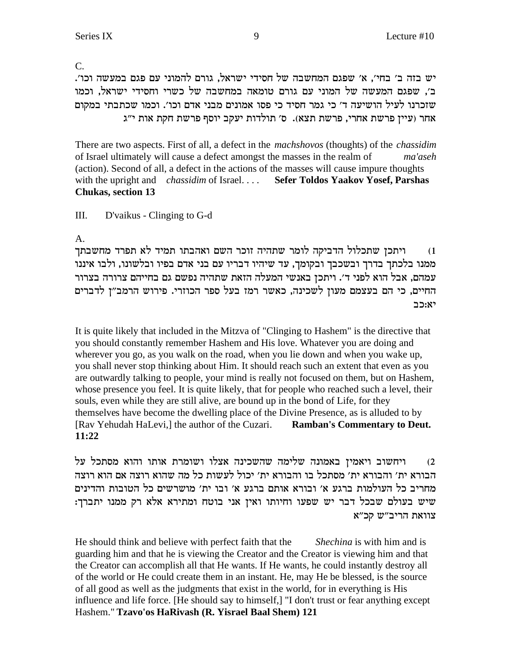$\overline{C}$ . יש בזה ב׳ בחי׳, א׳ שפגם המחשבה של חסידי ישראל, גורם להמוני עם פגם במעשה וכו׳. ב׳, שפגם המעשה של המוני עם גורם טומאה במחשבה של כשרי וחסידי ישראל, וכמו שזכרנו לעיל הושיעה ד׳ כי גמר חסיד כי פסו אמונים מבני אדם וכו׳. וכמו שכתבתי במקום אחר (עיין פרשת אחרי, פרשת תצא). ס׳ תולדות יעקב יוסף פרשת חקת אות י"ג

There are two aspects. First of all, a defect in the *machshovos* (thoughts) of the *chassidim* of Israel ultimately will cause a defect amongst the masses in the realm of ma'aseh (action). Second of all, a defect in the actions of the masses will cause impure thoughts with the upright and *chassidim* of Israel.... **Sefer Toldos Yaakov Yosef, Parshas Chukas, section 13** 

III. D'vaikus - Clinging to G-d

 $A_{\cdot}$ 

ויתכן שתכלול הדביקה לומר שתהיה זוכר השם ואהבתו תמיד לא תפרד מחשבתך  $(1)$ ממנו בלכתך בדרך ובשכבך ובקומך, עד שיהיו דבריו עם בני אדם בפיו ובלשונו, ולבו איננו עמהם, אבל הוא לפני ד׳. ויתכן באנשי המעלה הזאת שתהיה נפשם גם בחייהם צרורה בצרור החיים, כי הם בעצמם מעוז לשכינה, כאשר רמז בעל ספר הכוזרי. פירוש הרמב"ז לדברים יא:כב

It is quite likely that included in the Mitzva of "Clinging to Hashem" is the directive that you should constantly remember Hashem and His love. Whatever you are doing and wherever you go, as you walk on the road, when you lie down and when you wake up, you shall never stop thinking about Him. It should reach such an extent that even as you are outwardly talking to people, your mind is really not focused on them, but on Hashem, whose presence you feel. It is quite likely, that for people who reached such a level, their souls, even while they are still alive, are bound up in the bond of Life, for they themselves have become the dwelling place of the Divine Presence, as is alluded to by [Rav Yehudah HaLevi,] the author of the Cuzari. **Ramban's Commentary to Deut.** 11:22

ויחשוב ויאמין באמונה שלימה שהשכינה אצלו ושומרת אותו והוא מסתכל על  $(2)$ הבורא ית׳ והבורא ית׳ מסתכל בו והבורא ית׳ יכול לעשות כל מה שהוא רוצה אם הוא רוצה מחריב כל העולמות ברגע א׳ ובורא אותם ברגע א׳ ובו ית׳ מושרשים כל הטובות והדינים שיש בעולם שבכל דבר יש שפעו וחיותו ואין אני בוטח ומתירא אלא רק ממנו יתברך: צוואת הריב"ש קכ"א

He should think and believe with perfect faith that the Shechina is with him and is guarding him and that he is viewing the Creator and the Creator is viewing him and that the Creator can accomplish all that He wants. If He wants, he could instantly destroy all of the world or He could create them in an instant. He, may He be blessed, is the source of all good as well as the judgments that exist in the world, for in everything is His influence and life force. [He should say to himself,] "I don't trust or fear anything except Hashem." Tzavo'os HaRivash (R. Yisrael Baal Shem) 121

9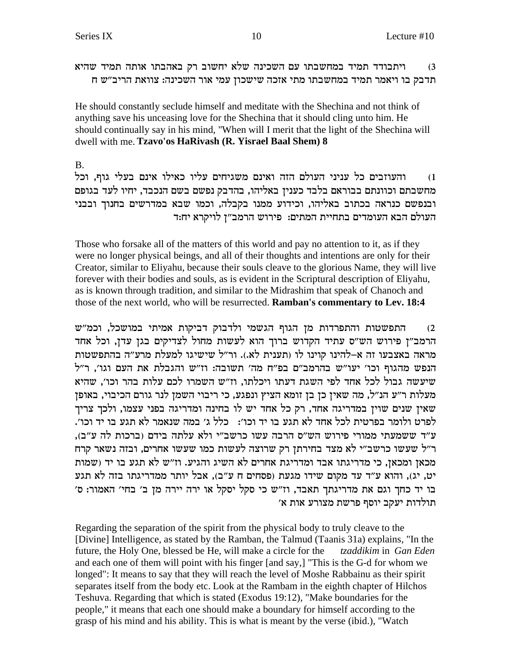ויתבודד תמיד במחשבתו עם השכינה שלא יחשוב רק באהבתו אותה תמיד שהיא  $(3)$ תדבק בו ויאמר תמיד במחשבתו מתי אזכה שישכון עמי אור השכינה: צוואת הריב"ש ח

He should constantly seclude himself and meditate with the Shechina and not think of anything save his unceasing love for the Shechina that it should cling unto him. He should continually say in his mind, "When will I merit that the light of the Shechina will dwell with me. Tzavo'os HaRivash (R. Yisrael Baal Shem) 8

 $B<sub>1</sub>$ 

והעוזבים כל עניני העולם הזה ואינם משגיחים עליו כאילו אינם בעלי גוף, וכל  $(1)$ מחשבתם וכוונתם בבוראם בלבד כענין באליהו, בהדבק נפשם בשם הנכבד, יחיו לעד בגופם ובנפשם כנראה בכתוב באליהו, וכידוע ממנו בקבלה, וכמו שבא במדרשים בחנוך ובבני העולם הבא העומדים בתחיית המתים: פירוש הרמב"ן לויקרא יח:ד

Those who forsake all of the matters of this world and pay no attention to it, as if they were no longer physical beings, and all of their thoughts and intentions are only for their Creator, similar to Eliyahu, because their souls cleave to the glorious Name, they will live forever with their bodies and souls, as is evident in the Scriptural description of Eliyahu, as is known through tradition, and similar to the Midrashim that speak of Chanoch and those of the next world, who will be resurrected. Ramban's commentary to Lev. 18:4

התפשטות והתפרדות מן הגוף הגשמי ולדבוק דביקות אמיתי במושכל, וכמ"ש  $(2)$ הרמב"ז פירוש הש"ס עתיד הקדוש ברוך הוא לעשות מחול לצדיקים בגן עדן, וכל אחד מראה באצבעו זה א-להינו קוינו לו (תענית לא.). ור"ל שישיגו למעלת מרע"ה בהתפשטות הנפש מהגוף וכו' יעו"ש בהרמב"ם בפ"ח מה' תשובה: וז"ש והגבלת את העם וגו', ר"ל שיעשה גבול לכל אחד לפי השגת דעתו ויכלתו, וז"ש השמרו לכם עלות בהר וכו', שהיא מעלות ר״ע הנ״ל, מה שאין כן בן זומא הציץ ונפגע, כי ריבוי השמן לנר גורם הכיבוי, באופן שאין שנים שוין במדריגה אחד, רק כל אחד יש לו בחינה ומדריגה בפני עצמו, ולכך צריך לפרט ולומר בפרטית לכל אחד לא תגע בו יד וכו׳: \_ כלל ג׳ במה שנאמר לא תגע בו יד וכו׳. ע"ד ששמעתי ממורי פירוש הש"ס הרבה עשו כרשב"י ולא עלתה בידם (ברכות לה ע"ב), ר"ל שעשו כרשב"י לא מצד בחירתן רק שרוצה לעשות כמו שעשו אחרים, ובזה נשאר קרח מכאן ומכאן, כי מדריגתו אבד ומדריגת אחרים לא השיג והגיע. וז"ש לא תגע בו יד (שמות יט, יג), והוא ע״ד עד מקום שידו מגעת (פסחים ח ע״ב), אבל יותר ממדריגתו בזה לא תגע בו יד כחך וגם את מדריגתך תאבד, וז"ש כי סקל יסקל או ירה יירה מן ב' בחי' האמור: ס' תולדות יעקב יוסף פרשת מצורע אות א׳

Regarding the separation of the spirit from the physical body to truly cleave to the [Divine] Intelligence, as stated by the Ramban, the Talmud (Taanis 31a) explains, "In the future, the Holy One, blessed be He, will make a circle for the tzaddikim in Gan Eden and each one of them will point with his finger [and say,] "This is the G-d for whom we longed": It means to say that they will reach the level of Moshe Rabbainu as their spirit separates itself from the body etc. Look at the Rambam in the eighth chapter of Hilchos Teshuva. Regarding that which is stated (Exodus 19:12), "Make boundaries for the people," it means that each one should make a boundary for himself according to the grasp of his mind and his ability. This is what is meant by the verse (ibid.), "Watch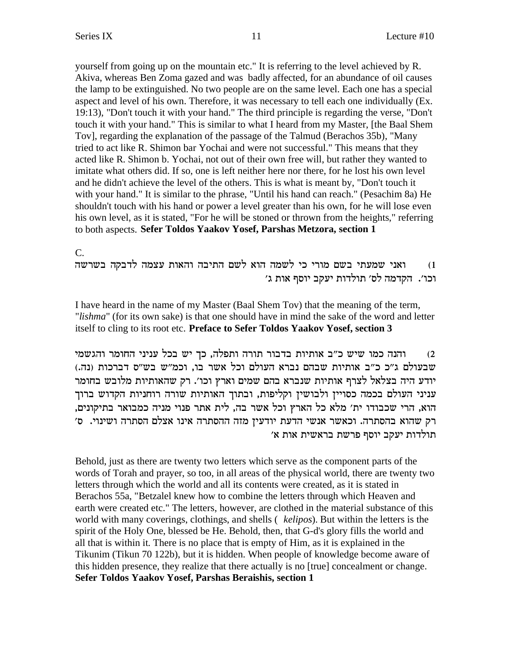yourself from going up on the mountain etc." It is referring to the level achieved by R. Akiva, whereas Ben Zoma gazed and was badly affected, for an abundance of oil causes the lamp to be extinguished. No two people are on the same level. Each one has a special aspect and level of his own. Therefore, it was necessary to tell each one individually (Ex. 19:13), "Don't touch it with your hand." The third principle is regarding the verse, "Don't touch it with your hand." This is similar to what I heard from my Master, [the Baal Shem Tov], regarding the explanation of the passage of the Talmud (Berachos 35b), "Many tried to act like R. Shimon bar Yochai and were not successful." This means that they acted like R. Shimon b. Yochai, not out of their own free will, but rather they wanted to imitate what others did. If so, one is left neither here nor there, for he lost his own level and he didn't achieve the level of the others. This is what is meant by, "Don't touch it with your hand." It is similar to the phrase, "Until his hand can reach." (Pesachim 8a) He shouldn't touch with his hand or power a level greater than his own, for he will lose even his own level, as it is stated, "For he will be stoned or thrown from the heights," referring to both aspects. **Sefer Toldos Yaakov Yosef, Parshas Metzora, section 1**

C.

ואני שמעתי בשם מורי כי לשמה הוא לשם התיבה והאות עצמה לדבקה בשרשה 'וכו'. הקדמה לס' תולדות יעקב יוסף אות ג'

I have heard in the name of my Master (Baal Shem Tov) that the meaning of the term, "*lishma*" (for its own sake) is that one should have in mind the sake of the word and letter itself to cling to its root etc. **Preface to Sefer Toldos Yaakov Yosef, section 3**

inyb והנה כמו שיש כ״ב אותיות בדבור תורה ותפלה, כך יש בכל עניני החומר והגשמי (נה.) שבעולם ג"כ כ"ב אותיות שבהם נברא העולם וכל אשר בו, וכמ"ש בש"ס דברכות יודע היה בצלאל לצרף אותיות שנברא בהם שמים וארץ וכו׳. רק שהאותיות מלובש בחומר עניני העולם בכמה כסויין ולבושין וקליפות, ובתוך האותיות שורה רוחניות הקדוש ברוך , הוא, הרי שכבודו ית' מלא כל הארץ וכל אשר בה, לית אתר פנוי מניה כמבואר בתיקונים 'רק שהוא בהסתרה. וכאשר אנשי הדעת יודעין מזה ההסתרה אינו אצלם הסתרה ושינוי. ס ' תולדות יעקב יוסף פרשת בראשית אות א

Behold, just as there are twenty two letters which serve as the component parts of the words of Torah and prayer, so too, in all areas of the physical world, there are twenty two letters through which the world and all its contents were created, as it is stated in Berachos 55a, "Betzalel knew how to combine the letters through which Heaven and earth were created etc." The letters, however, are clothed in the material substance of this world with many coverings, clothings, and shells ( *kelipos*). But within the letters is the spirit of the Holy One, blessed be He. Behold, then, that G-d's glory fills the world and all that is within it. There is no place that is empty of Him, as it is explained in the Tikunim (Tikun 70 122b), but it is hidden. When people of knowledge become aware of this hidden presence, they realize that there actually is no [true] concealment or change. **Sefer Toldos Yaakov Yosef, Parshas Beraishis, section 1**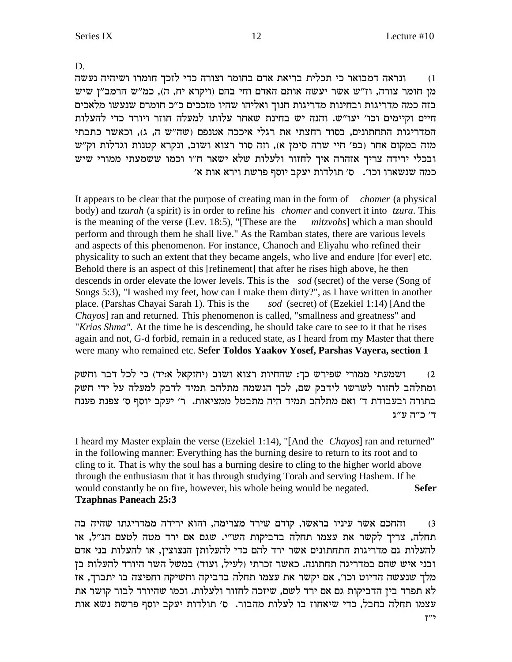D.

ונראה דמבואר כי תכלית בריאת אדם בחומר וצורה כדי לזכך חומרו ושיהיה נעשה  $(1)$ מן חומר צורה, וז"ש אשר יעשה אותם האדם וחי בהם (ויקרא יח, ה), כמ"ש הרמב"ן שיש בזה כמה מדריגות ובחינות מדריגות חנוך ואליהו שהיו מזככים כ"כ חומרם שנעשו מלאכים חיים וקיימים וכו׳ יעו״ש. והנה יש בחינת שאחר עלותו למעלה חוזר ויורד כדי להעלות המדריגות התחתונים, בסוד רחצתי את רגלי איככה אטנפם (שה״ש ה, ג), וכאשר כתבתי מזה במקום אחר (בפ׳ חיי שרה סימן א), וזה סוד רצוא ושוב, ונקרא קטנות וגדלות וק"ש ובכלי ירידה צריך אזהרה איך לחזור ולעלות שלא ישאר ח"ו וכמו ששמעתי ממורי שיש כמה שנשארו וכו׳. ס׳ תולדות יעקב יוסף פרשת וירא אות א׳

It appears to be clear that the purpose of creating man in the form of *chomer* (a physical body) and *tzurah* (a spirit) is in order to refine his *chomer* and convert it into *tzura*. This is the meaning of the verse (Lev. 18:5), "[These are the *mitzvohs*] which a man should perform and through them he shall live." As the Ramban states, there are various levels and aspects of this phenomenon. For instance, Chanoch and Eliyahu who refined their physicality to such an extent that they became angels, who live and endure [for ever] etc. Behold there is an aspect of this [refinement] that after he rises high above, he then descends in order elevate the lower levels. This is the sod (secret) of the verse (Song of Songs 5:3), "I washed my feet, how can I make them dirty?", as I have written in another place. (Parshas Chayai Sarah 1). This is the sod (secret) of (Ezekiel 1:14) [And the Chayos] ran and returned. This phenomenon is called, "smallness and greatness" and "Krias Shma". At the time he is descending, he should take care to see to it that he rises again and not, G-d forbid, remain in a reduced state, as I heard from my Master that there were many who remained etc. Sefer Toldos Yaakov Yosef, Parshas Vayera, section 1

ושמעתי ממורי שפירש כך: שהחיות רצוא ושוב (יחזקאל א:יד) כי לכל דבר וחשק  $(2)$ ומתלהב לחזור לשרשו לידבק שם, לכך הנשמה מתלהב תמיד לדבק למעלה על ידי חשק בתורה ובעבודת ד׳ ואם מתלהב תמיד היה מתבטל ממציאות. ר׳ יעקב יוסף ס׳ צפנת פענח ד' כ"ה ע"ג

I heard my Master explain the verse (Ezekiel 1:14), "[And the *Chayos*] ran and returned" in the following manner: Everything has the burning desire to return to its root and to cling to it. That is why the soul has a burning desire to cling to the higher world above through the enthusiasm that it has through studying Torah and serving Hashem. If he would constantly be on fire, however, his whole being would be negated. **Sefer Tzaphnas Paneach 25:3** 

והחכם אשר עיניו בראשו, קודם שירד מצרימה, והוא ירידה ממדריגתו שהיה בה  $(3)$ תחלה, צריך לקשר את עצמו תחלה בדביקות הש"י. שגם אם ירד מטה לטעם הנ"ל, או להעלות גם מדריגות התחתונים אשר ירד להם כדי להעלותן הנצוצין, או להעלות בני אדם ובני איש שהם במדריגה תחתונה. כאשר זכרתי (לעיל, ועוד) במשל השר היורד להעלות בן מלך שנעשה הדיוט וכו', אם יקשר את עצמו תחלה בדביקה וחשיקה וחפיצה בו יתברך, אז לא תפרד בין הדביקות גם אם ירד לשם, שיזכה לחזור ולעלות. וכמו שהיורד לבור קושר את עצמו תחלה בחבל, כדי שיאחוז בו לעלות מהבור. ס׳ תולדות יעקב יוסף פרשת נשא אות  $7''$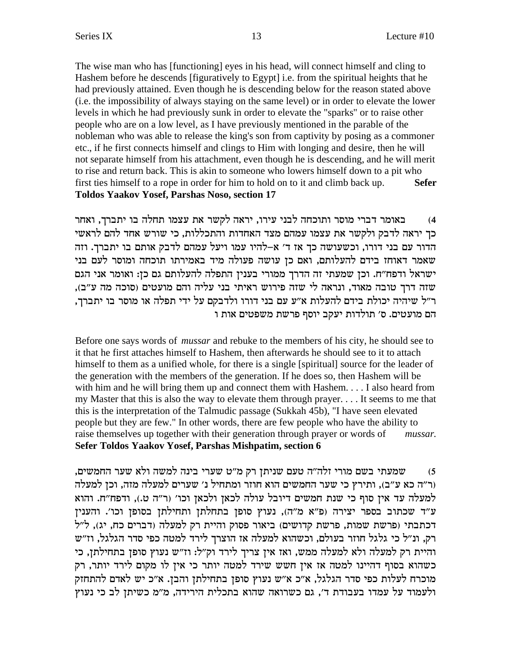The wise man who has [functioning] eyes in his head, will connect himself and cling to Hashem before he descends [figuratively to Egypt] i.e. from the spiritual heights that he had previously attained. Even though he is descending below for the reason stated above (i.e. the impossibility of always staying on the same level) or in order to elevate the lower levels in which he had previously sunk in order to elevate the "sparks" or to raise other people who are on a low level, as I have previously mentioned in the parable of the nobleman who was able to release the king's son from captivity by posing as a commoner etc., if he first connects himself and clings to Him with longing and desire, then he will not separate himself from his attachment, even though he is descending, and he will merit to rise and return back. This is akin to someone who lowers himself down to a pit who first ties himself to a rope in order for him to hold on to it and climb back up. **Sefer Toldos Yaakov Yosef, Parshas Noso, section 17** 

באומר דברי מוסר ותוכחה לבני עירו, יראה לקשר את עצמו תחלה בו יתברך, ואחר  $(4)$ כך יראה לדבק ולקשר את עצמו עמהם מצד האחדות והתכללות, כי שורש אחד להם לראשי הדור עם בני דורו, וכשעושה כך אז ד׳ א-להיו עמו ויעל עמהם לדבק אותם בו יתברך. וזה שאמר דאוחז בידם להעלותם, ואם כן עושה פעולה מיד באמירתו תוכחה ומוסר לעם בני ישראל ודפח"ח. וכן שמעתי זה הדרך ממורי בענין התפלה להעלותם גם כן: ואומר אני הגם שזה דרך טובה מאוד, ונראה לי שזה פירוש ראיתי בני עליה והם מועטים (סוכה מה ע"ב), ר״ל שיהיה יכולת בידם להעלות א״ע עם בני דורו ולדבקם על ידי תפלה או מוסר בו יתברך, הם מועטים. ס׳ תולדות יעקב יוסף פרשת משפטים אות ו

Before one says words of *mussar* and rebuke to the members of his city, he should see to it that he first attaches himself to Hashem, then afterwards he should see to it to attach himself to them as a unified whole, for there is a single [spiritual] source for the leader of the generation with the members of the generation. If he does so, then Hashem will be with him and he will bring them up and connect them with Hashem.... I also heard from my Master that this is also the way to elevate them through prayer.... It seems to me that this is the interpretation of the Talmudic passage (Sukkah 45b), "I have seen elevated people but they are few." In other words, there are few people who have the ability to raise themselves up together with their generation through prayer or words of mussar. Sefer Toldos Yaakov Yosef, Parshas Mishpatim, section 6

שמעתי בשם מורי זלה"ה טעם שניתן רק מ"ט שערי בינה למשה ולא שער החמשים,  $(5)$ (ר״ה כא ע״ב), ותירץ כי שער החמשים הוא חוזר ומתחיל נ׳ שערים למעלה מזה, וכן למעלה למעלה עד אין סוף כי שנת חמשים דיובל עולה לכאן ולכאן וכו׳ (ר"ה ט.), ודפח"ח. והוא ע"ד שכתוב בספר יצירה (פ"א מ"ה), נעוץ סופן בתחלתן ותחילתן בסופן וכו'. והענין דכתבתי (פרשת שמות, פרשת קדושים) ביאור פסוק והיית רק למעלה (דברים כח, יג), ל"ל רק, ונ"ל כי גלגל חוזר בעולם, וכשהוא למעלה אז הוצרך לירד למטה כפי סדר הגלגל, וז"ש והיית רק למעלה ולא למעלה ממש, ואז אין צריך לירד וק"ל: וז"ש נעוץ סופן בתחילתן, כי כשהוא בסוף דהיינו למטה אז אין חשש שירד למטה יותר כי אין לו מקום לירד יותר, רק מוכרח לעלות כפי סדר הגלגל, א״כ א״ש נעוץ סופן בתחילתן והבן. א״כ יש לאדם להתחזק ולעמוד על עמדו בעבודת ד׳, גם כשרואה שהוא בתכלית הירידה, מ״מ כשיתן לב כי נעוץ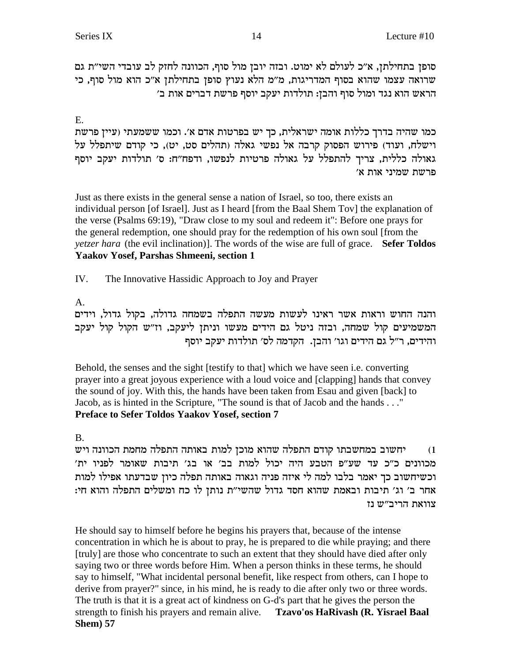סופן בתחילתן, א״כ לעולם לא ימוט. ובזה יובן מול סוף, הכוונה לחזק לב עובדי השי״ת גם יערואה עצמו שהוא בסוף המדריגות, מ"מ הלא נעוץ סופן בתחילתן א"כ הוא מול סוף, כי הראש הוא נגד ומול סוף והבן: תולדות יעקב יוסף פרשת דברים אות ב׳

E.

כמו שהיה בדרך כללות אומה ישראלית, כך יש בפרטות אדם א׳. וכמו ששמעתי (עיין פרשת וישלח, ועוד) פירוש הפסוק קרבה אל נפשי גאלה (תהלים סט, יט), כי קודם שיתפלל על גאולה כללית, צריך להתפלל על גאולה פרטיות לנפשו, ודפח"ח: ס' תולדות יעקב יוסף ' פרשת שמיני אות א

Just as there exists in the general sense a nation of Israel, so too, there exists an individual person [of Israel]. Just as I heard [from the Baal Shem Tov] the explanation of the verse (Psalms 69:19), "Draw close to my soul and redeem it": Before one prays for the general redemption, one should pray for the redemption of his own soul [from the *yetzer hara* (the evil inclination)]. The words of the wise are full of grace. **Sefer Toldos Yaakov Yosef, Parshas Shmeeni, section 1**

IV. The Innovative Hassidic Approach to Joy and Prayer

# A.

והנה החוש וראות אשר ראינו לעשות מעשה התפלה בשמחה גדולה, בקול גדול, וידים המשמיעים קול שמחה, ובזה ניטל גם הידים מעשו וניתן ליעקב, וז"ש הקול קול יעקב והידים, ר״ל גם הידים וגו׳ והבן. הקדמה לס׳ תולדות יעקב יוסף

Behold, the senses and the sight [testify to that] which we have seen i.e. converting prayer into a great joyous experience with a loud voice and [clapping] hands that convey the sound of joy. With this, the hands have been taken from Esau and given [back] to Jacob, as is hinted in the Scripture, "The sound is that of Jacob and the hands . . ." **Preface to Sefer Toldos Yaakov Yosef, section 7**

# B.

יחשוב במחשבתו קודם התפלה שהוא מוכן למות באותה התפלה מחמת הכוונה ויש 'מכוונים כ״כ עד שע״פ הטבע היה יכול למות בב׳ או בג׳ תיבות שאומר לפניו ית וכשיחשוב כך יאמר בלבו למה לי איזה פניה וגאוה באותה תפלה כיון שבדעתו אפילו למות :אחר ב' וג' תיבות ובאמת שהוא חסד גדול שהשי"ת נותן לו כח ומשלים התפלה והוא חי צוואת הריב"ש נז

He should say to himself before he begins his prayers that, because of the intense concentration in which he is about to pray, he is prepared to die while praying; and there [truly] are those who concentrate to such an extent that they should have died after only saying two or three words before Him. When a person thinks in these terms, he should say to himself, "What incidental personal benefit, like respect from others, can I hope to derive from prayer?" since, in his mind, he is ready to die after only two or three words. The truth is that it is a great act of kindness on G-d's part that he gives the person the strength to finish his prayers and remain alive. **Tzavo'os HaRivash (R. Yisrael Baal Shem) 57**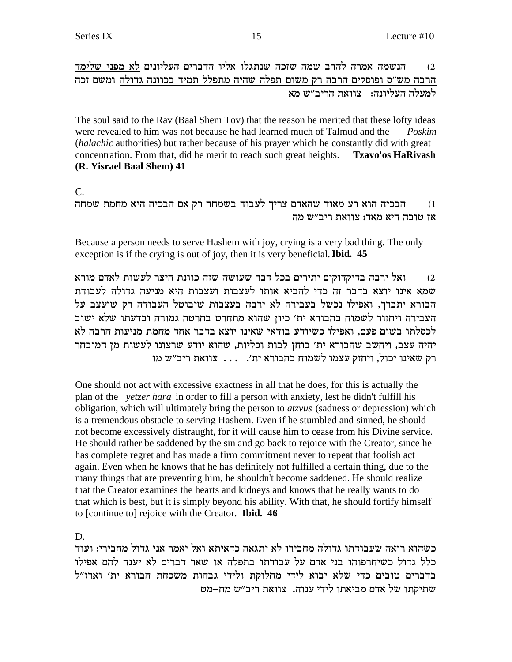הנשמה אמרה להרב שמה שזכה שנתגלו אליו הדברים העליונים לא מפני שלימד  $(2)$ הרבה מש״ס ופוסקים הרבה רק משום תפלה שהיה מתפלל תמיד בכוונה גדולה ומשם זכה למעלה העליונה: צוואת הריב״ש מא

The soul said to the Rav (Baal Shem Tov) that the reason he merited that these lofty ideas were revealed to him was not because he had learned much of Talmud and the Poskim (halachic authorities) but rather because of his prayer which he constantly did with great concentration. From that, did he merit to reach such great heights. **Tzavo'os HaRivash** (R. Yisrael Baal Shem) 41

 $C_{\cdot}$ 

הבכיה הוא רע מאוד שהאדם צריך לעבוד בשמחה רק אם הבכיה היא מחמת שמחה  $(1)$ אז טובה היא מאד: צוואת ריב״ש מה

Because a person needs to serve Hashem with joy, crying is a very bad thing. The only exception is if the crying is out of joy, then it is very beneficial. Ibid. 45

ואל ירבה בדיקדוקים יתירים בכל דבר שעושה שזה כוונת היצר לעשות לאדם מורא  $(2)$ שמא אינו יוצא בדבר זה כדי להביא אותו לעצבות ועצבות היא מניעה גדולה לעבודת הבורא יתברך, ואפילו נכשל בעבירה לא ירבה בעצבות שיבוטל העבודה רק שיעצב על העבירה ויחזור לשמוח בהבורא ית' כיון שהוא מתחרט בחרטה גמורה ובדעתו שלא ישוב לכסלתו בשום פעם, ואפילו כשיודע בודאי שאינו יוצא בדבר אחד מחמת מניעות הרבה לא יהיה עצב, ויחשב שהבורא ית' בוחן לבות וכליות, שהוא יודע שרצונו לעשות מן המובחר רק שאינו יכול, ויחזק עצמו לשמוח בהבורא ית'. . . . צוואת ריב"ש מו

One should not act with excessive exactness in all that he does, for this is actually the plan of the *yetzer hara* in order to fill a person with anxiety, lest he didn't fulfill his obligation, which will ultimately bring the person to atzvus (sadness or depression) which is a tremendous obstacle to serving Hashem. Even if he stumbled and sinned, he should not become excessively distraught, for it will cause him to cease from his Divine service. He should rather be saddened by the sin and go back to rejoice with the Creator, since he has complete regret and has made a firm commitment never to repeat that foolish act again. Even when he knows that he has definitely not fulfilled a certain thing, due to the many things that are preventing him, he shouldn't become saddened. He should realize that the Creator examines the hearts and kidneys and knows that he really wants to do that which is best, but it is simply beyond his ability. With that, he should fortify himself to [continue to] rejoice with the Creator. **Ibid. 46** 

 $D_{\perp}$ 

כשהוא רואה שעבודתו גדולה מחבירו לא יתגאה כדאיתא ואל יאמר אני גדול מחבירי: ועוד כלל גדול כשיחרפוהו בני אדם על עבודתו בתפלה או שאר דברים לא יענה להם אפילו בדברים טובים כדי שלא יבוא לידי מחלוקת ולידי גבהות משכחת הבורא ית' וארז"ל שתיקתו של אדם מביאתו לידי ענוה. צוואת ריב״ש מח–מט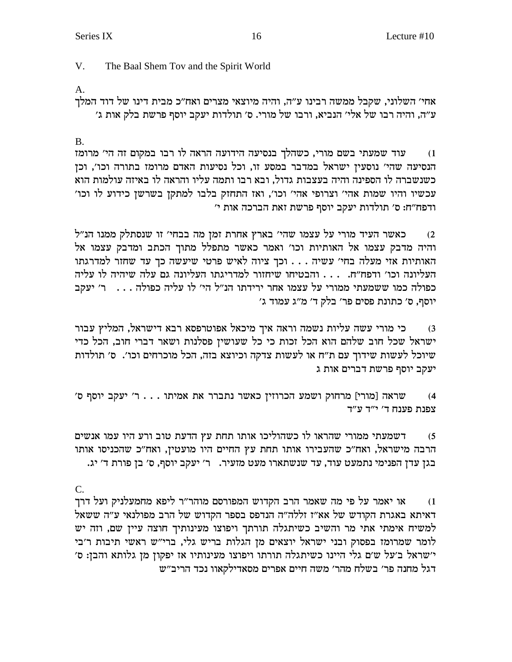V. The Baal Shem Tov and the Spirit World

A.

אחי' השלוני, שקבל ממשה רבינו ע"ה, והיה מיוצאי מצרים ואח"כ מבית דינו של דוד המלך 'ע״ה, והיה רבו של אלי׳ הנביא, ורבו של מורי. ס׳ תולדות יעקב יוסף פרשת בלק אות ג׳

B.

עוד שמעתי בשם מורי, כשהלך בנסיעה הידועה הראה לו רבו במקום זה הי' מרומז הנסיעה שהי׳ נוסעין ישראל במדבר במסע זו, וכל נסיעות האדם מרומז בתורה וכו׳, וכן כשנשברה לו הספינה והיה בעצבות גדול, ובא רבו ותמה עליו והראה לו באיזה עולמות הוא 'עכשיו והיו שמות אהי' וצרופי אהי' וכו', ואז התחזק בלבו למתקן בשרשן כידוע לו וכו 'ו בפח"ח: ס' תולדות יעקב יוסף פרשת זאת הברכה אות י

כאשר העיד מורי על עצמו שהי׳ בארץ אחרת זמן מה בבחי׳ זו שנסתלק ממנו הנ״ל והיה מדבק עצמו אל האותיות וכו׳ ואמר כאשר מתפלל מתוך הכתב ומדבק עצמו אל האותיות אזי מעלה בחי׳ עשיה . . . וכך ציוה לאיש פרטי שיעשה כך עד שחזר למדרגתו העליונה וכו' ודפח"ח. . . . והבטיחו שיחזור למדריגתו העליונה גם עלה שיהיה לו עליה כפולה כמו ששמעתי ממורי על עצמו אחר ירידתו הנ"ל הי' לו עליה כפולה . . . . ר' יעקב יוסף, ס' כתונת פסים פר' בלק ד' מ"ג עמוד ג'

כי מורי עשה עליות נשמה וראה איך מיכאל אפוטרפסא רבא דישראל, המליץ עבור  $\,$ ישראל שכל חוב שלהם הוא הכל זכות כי כל שעושיז פסלנות ושאר דברי חוב, הכל כדי שיוכל לעשות שידוך עם ת"ח או לעשות צדקה וכיוצא בזה, הכל מוכרחים וכו׳. ס׳ תולדות יעקב יוסף פרשת דברים אות ג

'ס שראה [מורי] מרחוק ושמע הכרוזין כאשר נתברר את אמיתו . . . ר' יעקב יוסף ס צפנת פענח ד' י"ד ע"ד

דשמעתי ממורי שהראו לו כשהוליכו אותו תחת עץ הדעת טוב ורע היו עמו אנשים (5 הרבה מישראל, ואח"כ שהעבירו אותו תחת עץ החיים היו מועטין, ואח"כ שהכניסו אותו .<br>בגן עדן הפנימי נתמעט עוד, עד שנשתארו מעט מזעיר. ב' יעקב יוסף, ס' בן פורת ד' יג

C.

או יאמר על פי מה שאמר הרב הקדוש המפורסם מוהר"ר ליפא מחמעלניק ועל דרך i ראיתא באגרת הקודש של אא"ז זללה"ה הנדפס בספר הקדוש של הרב מפולנאי ע"ה ששאל למשיח אימתי אתי מר והשיב כשיתגלה תורתך ויפוצו מעינותיך חוצה עיין שם, וזה יש לומר שמרומז בפסוק ובני ישראל יוצאים מן הגלות בריש גלי, ברי"ש ראשי תיבות ר'בי ישראל ב'על ש'ם גלי היינו כשיתגלה תורתו ויפוצו מעינותיו אז יפקון מן גלותא והבן: ס' דגל מחנה פר' בשלח מהר' משה חיים אפרים מסאדילקאוו נכד הריב"ש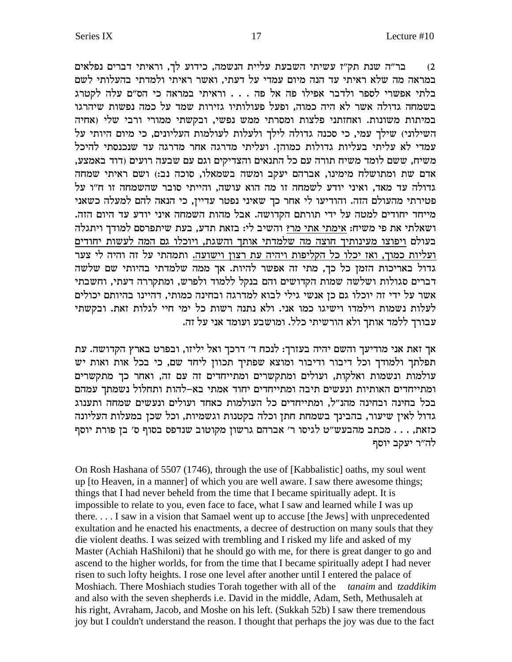בר"ה שנת תק"ז עשיתי השבעת עליית הנשמה, כידוע לך, וראיתי דברים נפלאים  $(2)$ במראה מה שלא ראיתי עד הנה מיום עמדי על דעתי, ואשר ראיתי ולמדתי בהעלותי לשם בלתי אפשרי לספר ולדבר אפילו פה אל פה . . . וראיתי במראה כי הס"ם עלה לקטרג בשמחה גדולה אשר לא היה כמוה, ופעל פעולותיו גזירות שמד על כמה נפשות שיהרגו במיתות משונות. ואחזתני פלצות ומסרתי ממש נפשי, ובקשתי ממורי ורבי שלי (אחיה השילוני) שילך עמי, כי סכנה גדולה לילך ולעלות לעולמות העליונים, כי מיום היותי על עמדי לא עליתי בעליות גדולות כמוהן. ועליתי מדרגה אחר מדרגה עד שנכנסתי להיכל משיח, ששם לומד משיח תורה עם כל התנאים והצדיקים וגם עם שבעה רועים (דוד באמצע, אדם שת ומתושלח מימינו, אברהם יעקב ומשה בשמאלו, סוכה נב:) ושם ראיתי שמחה גדולה עד מאד, ואיני יודע לשמחה זו מה הוא עושה, והייתי סובר שהשמחה זו ח"ו על פטירתי מהעולם הזה. והודיעו לי אחר כך שאיני נפטר עדיין, כי הנאה להם למעלה כשאני מייחד יחודים למטה על ידי תורתם הקדושה. אבל מהות השמחה איני יודע עד היום הזה. ושאלתי את פי משיח: <u>אימתי אתי מר</u>? והשיב לי: בזאת תדע, בעת שיתפרסם למודך ויתגלה בעולם ויפוצו מעינותיך חוצה מה שלמדתי אותך והשגת, ויוכלו גם המה לעשות יחודים ועליות כמוך, ואז יכלו כל הקליפות ויהיה עת רצון וישועה. ותמהתי על זה והיה לי צער .<br>גדול באריכות הזמן כל כך, מתי זה אפשר להיות. אך ממה שלמדתי בהיותי שם שלשה דברים סגולות ושלשה שמות הקדושים והם בנקל ללמוד ולפרש, ומתקררה דעתי, וחשבתי אשר על ידי זה יוכלו גם כן אנשי גילי לבוא למדרגה ובחינה כמותי, דהיינו בהיותם יכולים לעלות נשמות וילמדו וישיגו כמו אני. ולא נתנה רשות כל ימי חיי לגלות זאת. ובקשתי עבורך ללמד אותך ולא הורשיתי כלל. ומושבע ועומד אני על זה.

אך זאת אני מודיעך והשם יהיה בעזרך: לנכח ד׳ דרכך ואל יליזו, ובפרט בארץ הקדושה. עת תפלתך ולמודך וכל דיבור ודיבור ומוצא שפתיך תכוון ליחד שם, כי בכל אות ואות יש עולמות ונשמות ואלקות, ועולים ומתקשרים ומתייחדים זה עם זה, ואחר כך מתקשרים ומתייחדים האותיות ונעשים תיבה ומתייחדים יחוד אמתי בא-להות ותחלול נשמתך עמהם בכל בחינה ובחינה מהנ"ל, ומתייחדים כל העולמות כאחד ועולים ונעשים שמחה ותענוג גדול לאין שיעור, בהבינך בשמחת חתן וכלה בקטנות וגשמיות, וכל שכן במעלות העליונה כזאת, . . . מכתב מהבעש"ט לגיסו ר' אברהם גרשון מקוטוב שנדפס בסוף ס' בן פורת יוסף לה״ר יעקב יוסף

On Rosh Hashana of 5507 (1746), through the use of [Kabbalistic] oaths, my soul went up [to Heaven, in a manner] of which you are well aware. I saw there awesome things; things that I had never beheld from the time that I became spiritually adept. It is impossible to relate to you, even face to face, what I saw and learned while I was up there.... I saw in a vision that Samael went up to accuse [the Jews] with unprecedented exultation and he enacted his enactments, a decree of destruction on many souls that they die violent deaths. I was seized with trembling and I risked my life and asked of my Master (Achiah HaShiloni) that he should go with me, for there is great danger to go and ascend to the higher worlds, for from the time that I became spiritually adept I had never risen to such lofty heights. I rose one level after another until I entered the palace of Moshiach. There Moshiach studies Torah together with all of the tanaim and tzaddikim and also with the seven shepherds i.e. David in the middle, Adam, Seth, Methusaleh at his right, Avraham, Jacob, and Moshe on his left. (Sukkah 52b) I saw there tremendous joy but I couldn't understand the reason. I thought that perhaps the joy was due to the fact